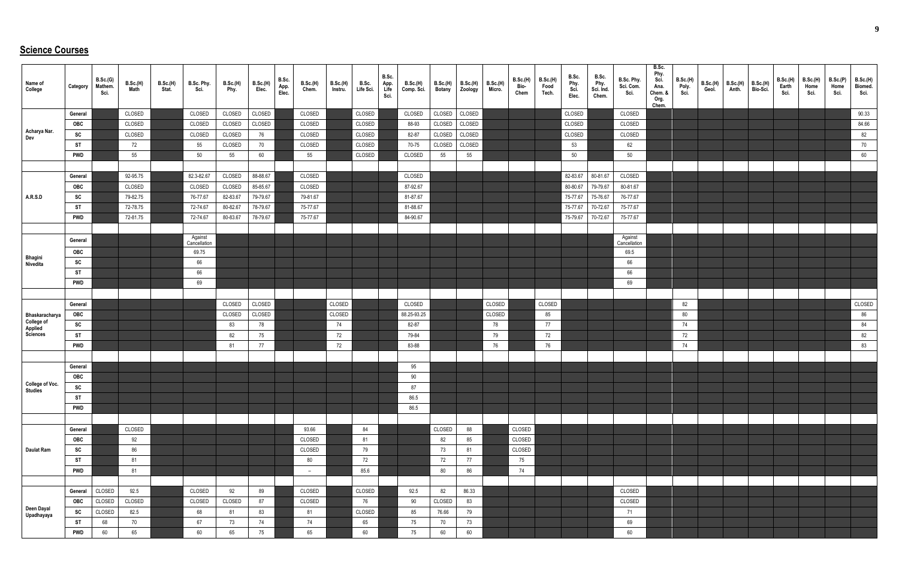## **Science Courses**

| Name of<br>College                | Category   | B.Sc.(G)<br>Mathem.<br>Sci. | <b>B.Sc.(H)</b><br>Math | <b>B.Sc.(H)</b><br>Stat. | B.Sc. Phy.<br>Sci.      | <b>B.Sc.(H)</b><br>Phy. | B.Sc.(H)<br>Elec. | B.Sc.<br>App.<br>Elec. | <b>B.Sc.(H)</b><br>Chem. | <b>B.Sc.(H)</b><br>Instru. | B.Sc.<br>Life Sci. | B.Sc.<br>App.<br>Life<br>Sci. | <b>B.Sc.(H)</b><br>Comp. Sci. | <b>B.Sc.(H)</b><br><b>Botany</b> | <b>B.Sc.(H)</b><br>Zoology | B.Sc.(H)<br>Micro. | <b>B.Sc.(H)</b><br>Bio-<br>Chem | <b>B.Sc.(H)</b><br>Food<br>Tech. | B.Sc.<br>Phy.<br>Sci.<br>Elec. | B.Sc.<br>Phy.<br>Sci. Ind.<br>Chem. | B.Sc. Phy.<br>Sci. Com.<br>Sci. | B.Sc.<br>Phy.<br>Sci.<br>Ana.<br>Chem. &<br>Org.<br>Chem. | B.Sc.(H)<br>Poly.<br>Sci. | B.Sc.(H)<br>Geol. | <b>B.Sc.(H)</b><br>Anth. | <b>B.Sc.(H)</b><br>Bio-Sci. | B.Sc.(H)<br>Earth<br>Sci. | B.Sc.(H)<br>Home<br>Sci. | B.Sc.(P)<br>Home<br>Sci. | <b>B.Sc.(H)</b><br>Biomed.<br>Sci. |
|-----------------------------------|------------|-----------------------------|-------------------------|--------------------------|-------------------------|-------------------------|-------------------|------------------------|--------------------------|----------------------------|--------------------|-------------------------------|-------------------------------|----------------------------------|----------------------------|--------------------|---------------------------------|----------------------------------|--------------------------------|-------------------------------------|---------------------------------|-----------------------------------------------------------|---------------------------|-------------------|--------------------------|-----------------------------|---------------------------|--------------------------|--------------------------|------------------------------------|
|                                   | General    |                             | CLOSED                  |                          | CLOSED                  | CLOSED                  | CLOSED            |                        | CLOSED                   |                            | CLOSED             |                               | CLOSED                        | CLOSED                           | CLOSED                     |                    |                                 |                                  | CLOSED                         |                                     | CLOSED                          |                                                           |                           |                   |                          |                             |                           |                          |                          | 90.33                              |
|                                   | OBC        |                             | CLOSED                  |                          | CLOSED                  | CLOSED                  | CLOSED            |                        | CLOSED                   |                            | CLOSED             |                               | 88-93                         | CLOSED                           | CLOSED                     |                    |                                 |                                  | CLOSED                         |                                     | CLOSED                          |                                                           |                           |                   |                          |                             |                           |                          |                          | 84.66                              |
| Acharya Nar.<br>Dev               | SC         |                             | CLOSED                  |                          | CLOSED                  | CLOSED                  | 76                |                        | CLOSED                   |                            | CLOSED             |                               | 82-87                         | CLOSED                           | CLOSED                     |                    |                                 |                                  | CLOSED                         |                                     | CLOSED                          |                                                           |                           |                   |                          |                             |                           |                          |                          | 82                                 |
|                                   | ST         |                             | 72                      |                          | 55                      | CLOSED                  | 70                |                        | CLOSED                   |                            | CLOSED             |                               | 70-75                         | CLOSED                           | CLOSED                     |                    |                                 |                                  | 53                             |                                     | 62                              |                                                           |                           |                   |                          |                             |                           |                          |                          | 70                                 |
|                                   | PWD        |                             | 55                      |                          | 50                      | 55                      | 60                |                        | 55                       |                            | CLOSED             |                               | CLOSED                        | 55                               | 55                         |                    |                                 |                                  | 50                             |                                     | 50                              |                                                           |                           |                   |                          |                             |                           |                          |                          | 60                                 |
|                                   |            |                             |                         |                          |                         |                         |                   |                        |                          |                            |                    |                               |                               |                                  |                            |                    |                                 |                                  |                                |                                     |                                 |                                                           |                           |                   |                          |                             |                           |                          |                          |                                    |
|                                   | General    |                             | 92-95.75                |                          | 82.3-82.67              | CLOSED                  | 88-88.67          |                        | CLOSED                   |                            |                    |                               | CLOSED                        |                                  |                            |                    |                                 |                                  | 82-83.67                       | 80-81.67                            | CLOSED                          |                                                           |                           |                   |                          |                             |                           |                          |                          |                                    |
|                                   | OBC        |                             | CLOSED                  |                          | CLOSED                  | CLOSED                  | 85-85.67          |                        | CLOSED                   |                            |                    |                               | 87-92.67                      |                                  |                            |                    |                                 |                                  | 80-80.67                       | 79-79.67                            | 80-81.67                        |                                                           |                           |                   |                          |                             |                           |                          |                          |                                    |
| A.R.S.D                           | SC         |                             | 79-82.75                |                          | 76-77.67                | 82-83.67                | 79-79.67          |                        | 79-81.67                 |                            |                    |                               | 81-87.67                      |                                  |                            |                    |                                 |                                  | 75-77.67                       | 75-76.67                            | 76-77.67                        |                                                           |                           |                   |                          |                             |                           |                          |                          |                                    |
|                                   | ST         |                             | 72-78.75                |                          | 72-74.67                | 80-82.67                | 78-79.67          |                        | 75-77.67                 |                            |                    |                               | 81-88.67                      |                                  |                            |                    |                                 |                                  | 75-77.67                       | 70-72.67                            | 75-77.67                        |                                                           |                           |                   |                          |                             |                           |                          |                          |                                    |
|                                   | PWD        |                             | 72-81.75                |                          | 72-74.67                | 80-83.67                | 78-79.67          |                        | 75-77.67                 |                            |                    |                               | 84-90.67                      |                                  |                            |                    |                                 |                                  | 75-79.67                       | 70-72.67                            | 75-77.67                        |                                                           |                           |                   |                          |                             |                           |                          |                          |                                    |
|                                   |            |                             |                         |                          |                         |                         |                   |                        |                          |                            |                    |                               |                               |                                  |                            |                    |                                 |                                  |                                |                                     |                                 |                                                           |                           |                   |                          |                             |                           |                          |                          |                                    |
|                                   | General    |                             |                         |                          | Against<br>Cancellation |                         |                   |                        |                          |                            |                    |                               |                               |                                  |                            |                    |                                 |                                  |                                |                                     | Against<br>Cancellation         |                                                           |                           |                   |                          |                             |                           |                          |                          |                                    |
|                                   | OBC        |                             |                         |                          | 69.75                   |                         |                   |                        |                          |                            |                    |                               |                               |                                  |                            |                    |                                 |                                  |                                |                                     | 69.5                            |                                                           |                           |                   |                          |                             |                           |                          |                          |                                    |
| <b>Bhagini</b><br>Nivedita        | SC         |                             |                         |                          | 66                      |                         |                   |                        |                          |                            |                    |                               |                               |                                  |                            |                    |                                 |                                  |                                |                                     | 66                              |                                                           |                           |                   |                          |                             |                           |                          |                          |                                    |
|                                   | ST         |                             |                         |                          | 66                      |                         |                   |                        |                          |                            |                    |                               |                               |                                  |                            |                    |                                 |                                  |                                |                                     | 66                              |                                                           |                           |                   |                          |                             |                           |                          |                          |                                    |
|                                   | PWD        |                             |                         |                          | 69                      |                         |                   |                        |                          |                            |                    |                               |                               |                                  |                            |                    |                                 |                                  |                                |                                     | 69                              |                                                           |                           |                   |                          |                             |                           |                          |                          |                                    |
|                                   |            |                             |                         |                          |                         |                         |                   |                        |                          |                            |                    |                               |                               |                                  |                            |                    |                                 |                                  |                                |                                     |                                 |                                                           |                           |                   |                          |                             |                           |                          |                          |                                    |
|                                   | General    |                             |                         |                          |                         | CLOSED                  | CLOSED            |                        |                          | CLOSED                     |                    |                               | CLOSED                        |                                  |                            | CLOSED             |                                 | CLOSED                           |                                |                                     |                                 |                                                           | 82                        |                   |                          |                             |                           |                          |                          | CLOSED                             |
| Bhaskaracharya                    | OBC        |                             |                         |                          |                         | CLOSED                  | CLOSED            |                        |                          | CLOSED                     |                    |                               | 88.25-93.25                   |                                  |                            | CLOSED             |                                 | 85                               |                                |                                     |                                 |                                                           | 80                        |                   |                          |                             |                           |                          |                          | 86                                 |
| College of<br>Applied             | SC         |                             |                         |                          |                         | 83                      | 78                |                        |                          | 74                         |                    |                               | 82-87                         |                                  |                            | 78                 |                                 | 77                               |                                |                                     |                                 |                                                           | 74                        |                   |                          |                             |                           |                          |                          | 84                                 |
| Sciences                          | <b>ST</b>  |                             |                         |                          |                         | 82                      | 75                |                        |                          | 72                         |                    |                               | 79-84                         |                                  |                            | 79                 |                                 | 72                               |                                |                                     |                                 |                                                           | 72                        |                   |                          |                             |                           |                          |                          | 82                                 |
|                                   | <b>PWD</b> |                             |                         |                          |                         | 81                      | 77                |                        |                          | 72                         |                    |                               | 83-88                         |                                  |                            | 76                 |                                 | 76                               |                                |                                     |                                 |                                                           | 74                        |                   |                          |                             |                           |                          |                          | 83                                 |
|                                   |            |                             |                         |                          |                         |                         |                   |                        |                          |                            |                    |                               |                               |                                  |                            |                    |                                 |                                  |                                |                                     |                                 |                                                           |                           |                   |                          |                             |                           |                          |                          |                                    |
|                                   | General    |                             |                         |                          |                         |                         |                   |                        |                          |                            |                    |                               | 95                            |                                  |                            |                    |                                 |                                  |                                |                                     |                                 |                                                           |                           |                   |                          |                             |                           |                          |                          |                                    |
|                                   | <b>OBC</b> |                             |                         |                          |                         |                         |                   |                        |                          |                            |                    |                               | 90                            |                                  |                            |                    |                                 |                                  |                                |                                     |                                 |                                                           |                           |                   |                          |                             |                           |                          |                          |                                    |
| College of Voc.<br><b>Studies</b> | SC         |                             |                         |                          |                         |                         |                   |                        |                          |                            |                    |                               | 87                            |                                  |                            |                    |                                 |                                  |                                |                                     |                                 |                                                           |                           |                   |                          |                             |                           |                          |                          |                                    |
|                                   | <b>ST</b>  |                             |                         |                          |                         |                         |                   |                        |                          |                            |                    |                               | 86.5                          |                                  |                            |                    |                                 |                                  |                                |                                     |                                 |                                                           |                           |                   |                          |                             |                           |                          |                          |                                    |
|                                   | <b>PWD</b> |                             |                         |                          |                         |                         |                   |                        |                          |                            |                    |                               | 86.5                          |                                  |                            |                    |                                 |                                  |                                |                                     |                                 |                                                           |                           |                   |                          |                             |                           |                          |                          |                                    |
|                                   |            |                             |                         |                          |                         |                         |                   |                        |                          |                            |                    |                               |                               |                                  |                            |                    |                                 |                                  |                                |                                     |                                 |                                                           |                           |                   |                          |                             |                           |                          |                          |                                    |
|                                   | General    |                             | CLOSED                  |                          |                         |                         |                   |                        | 93.66                    |                            | 84                 |                               |                               | CLOSED                           | 88                         |                    | CLOSED                          |                                  |                                |                                     |                                 |                                                           |                           |                   |                          |                             |                           |                          |                          |                                    |
|                                   | OBC        |                             | 92                      |                          |                         |                         |                   |                        | CLOSED                   |                            | 81                 |                               |                               | 82                               | 85                         |                    | CLOSED                          |                                  |                                |                                     |                                 |                                                           |                           |                   |                          |                             |                           |                          |                          |                                    |
| Daulat Ram                        | SC         |                             | 86                      |                          |                         |                         |                   |                        | CLOSED                   |                            | 79                 |                               |                               | 73                               | 81                         |                    | CLOSED                          |                                  |                                |                                     |                                 |                                                           |                           |                   |                          |                             |                           |                          |                          |                                    |
|                                   | <b>ST</b>  |                             | 81                      |                          |                         |                         |                   |                        | 80                       |                            | 72                 |                               |                               | 72                               | 77                         |                    | 75                              |                                  |                                |                                     |                                 |                                                           |                           |                   |                          |                             |                           |                          |                          |                                    |
|                                   | <b>PWD</b> |                             | 81                      |                          |                         |                         |                   |                        | $-$                      |                            | 85.6               |                               |                               | 80                               | 86                         |                    | 74                              |                                  |                                |                                     |                                 |                                                           |                           |                   |                          |                             |                           |                          |                          |                                    |
|                                   |            |                             |                         |                          |                         |                         |                   |                        |                          |                            |                    |                               |                               |                                  |                            |                    |                                 |                                  |                                |                                     |                                 |                                                           |                           |                   |                          |                             |                           |                          |                          |                                    |
|                                   | General    | CLOSED                      | 92.5                    |                          | CLOSED                  | 92                      | 89                |                        | CLOSED                   |                            | CLOSED             |                               | 92.5                          | 82                               | 86.33                      |                    |                                 |                                  |                                |                                     | CLOSED                          |                                                           |                           |                   |                          |                             |                           |                          |                          |                                    |
|                                   | OBC        | CLOSED                      | CLOSED                  |                          | CLOSED                  | CLOSED                  | 87                |                        | CLOSED                   |                            | 76                 |                               | 90                            | CLOSED                           | 83                         |                    |                                 |                                  |                                |                                     | CLOSED                          |                                                           |                           |                   |                          |                             |                           |                          |                          |                                    |
| Deen Dayal<br>Upadhayaya          | SC         | CLOSED                      | 82.5                    |                          | 68                      | 81                      | 83                |                        | 81                       |                            | CLOSED             |                               | 85                            | 76.66                            | 79                         |                    |                                 |                                  |                                |                                     | 71                              |                                                           |                           |                   |                          |                             |                           |                          |                          |                                    |
|                                   | ST         | 68                          | 70                      |                          | 67                      | 73                      | 74                |                        | 74                       |                            | 65                 |                               | 75                            | 70                               | 73                         |                    |                                 |                                  |                                |                                     | 69                              |                                                           |                           |                   |                          |                             |                           |                          |                          |                                    |
|                                   | <b>PWD</b> | 60                          | 65                      |                          | 60                      | 65                      | 75                |                        | 65                       |                            | 60                 |                               | 75                            | 60                               | 60                         |                    |                                 |                                  |                                |                                     | 60                              |                                                           |                           |                   |                          |                             |                           |                          |                          |                                    |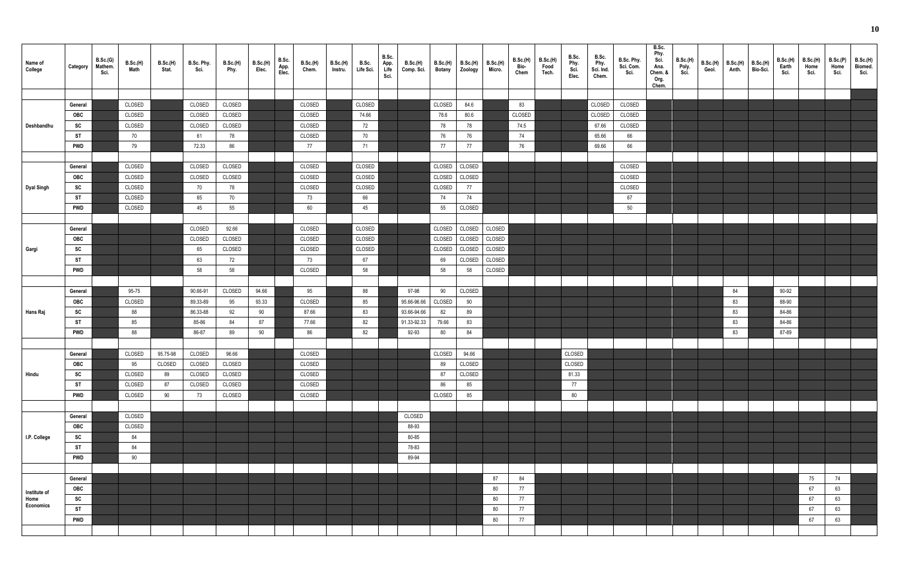| Name of<br>College   | Category        | B.Sc.(G)<br>Mathem.<br>Sci. | <b>B.Sc.(H)</b><br><b>Math</b> | <b>B.Sc.(H)</b><br>Stat. | B.Sc. Phy.<br>Sci. | <b>B.Sc.(H)</b><br>Phy. | B.Sc.(H)<br>Elec. | B.Sc.<br>App.<br>Elec. | <b>B.Sc.(H)</b><br>Chem. | <b>B.Sc.(H)</b><br>Instru. | B.Sc.<br>Life Sci. | B.Sc.<br>App.<br>Life<br>Sci. | <b>B.Sc.(H)</b><br>Comp. Sci. | <b>B.Sc.(H)</b><br><b>Botany</b> | <b>B.Sc.(H)</b><br>Zoology | <b>B.Sc.(H)</b><br>Micro. | <b>B.Sc.(H)</b><br>Bio-<br>Chem | <b>B.Sc.(H)</b><br>Food<br>Tech. | B.Sc.<br>Phy.<br>Sci.<br>Elec. | B.Sc.<br>Phy.<br>Sci. Ind.<br>Chem. | B.Sc. Phy.<br>Sci. Com.<br>Sci. | B.Sc.<br>Phy.<br>Sci.<br>Ana.<br>Chem. &<br>Org.<br>Chem. | B.Sc.(H)<br>Poly.<br>Sci. | <b>B.Sc.(H)</b><br>Geol. | B.Sc.(H)<br>Anth. | <b>B.Sc.(H)</b><br>Bio-Sci. | <b>B.Sc.(H)</b><br>Earth<br>Sci. | <b>B.Sc.(H)</b><br>Home<br>Sci. | B.Sc.(P)<br>Home<br>Sci. | B.Sc.(H)<br>Biomed.<br>Sci. |
|----------------------|-----------------|-----------------------------|--------------------------------|--------------------------|--------------------|-------------------------|-------------------|------------------------|--------------------------|----------------------------|--------------------|-------------------------------|-------------------------------|----------------------------------|----------------------------|---------------------------|---------------------------------|----------------------------------|--------------------------------|-------------------------------------|---------------------------------|-----------------------------------------------------------|---------------------------|--------------------------|-------------------|-----------------------------|----------------------------------|---------------------------------|--------------------------|-----------------------------|
|                      |                 |                             |                                |                          |                    |                         |                   |                        |                          |                            |                    |                               |                               |                                  |                            |                           |                                 |                                  |                                |                                     |                                 |                                                           |                           |                          |                   |                             |                                  |                                 |                          |                             |
|                      | General         |                             | CLOSED                         |                          | CLOSED             | CLOSED                  |                   |                        | CLOSED                   |                            | CLOSED             |                               |                               | CLOSED                           | 84.6                       |                           | 83                              |                                  |                                | CLOSED                              | CLOSED                          |                                                           |                           |                          |                   |                             |                                  |                                 |                          |                             |
|                      | OBC             |                             | CLOSED                         |                          | CLOSED             | CLOSED                  |                   |                        | CLOSED                   |                            | 74.66              |                               |                               | 78.6                             | 80.6                       |                           | CLOSED                          |                                  |                                | CLOSED                              | CLOSED                          |                                                           |                           |                          |                   |                             |                                  |                                 |                          |                             |
| Deshbandhu           | SC              |                             | CLOSED                         |                          | CLOSED             | CLOSED                  |                   |                        | CLOSED                   |                            | 72                 |                               |                               | 78                               | 78                         |                           | 74.5                            |                                  |                                | 67.66                               | CLOSED                          |                                                           |                           |                          |                   |                             |                                  |                                 |                          |                             |
|                      | <b>ST</b>       |                             | 70                             |                          | 61                 | 78                      |                   |                        | CLOSED                   |                            | 70                 |                               |                               | 76                               | 76                         |                           | 74                              |                                  |                                | 65.66                               | 66                              |                                                           |                           |                          |                   |                             |                                  |                                 |                          |                             |
|                      | <b>PWD</b>      |                             | 79                             |                          | 72.33              | 86                      |                   |                        | 77                       |                            | 71                 |                               |                               | 77                               | 77                         |                           | 76                              |                                  |                                | 69.66                               | 66                              |                                                           |                           |                          |                   |                             |                                  |                                 |                          |                             |
|                      | General         |                             | CLOSED                         |                          | CLOSED             | CLOSED                  |                   |                        | CLOSED                   |                            | CLOSED             |                               |                               | CLOSED                           | CLOSED                     |                           |                                 |                                  |                                |                                     | CLOSED                          |                                                           |                           |                          |                   |                             |                                  |                                 |                          |                             |
|                      | OBC             |                             | CLOSED                         |                          | CLOSED             | CLOSED                  |                   |                        | CLOSED                   |                            | CLOSED             |                               |                               | CLOSED                           | CLOSED                     |                           |                                 |                                  |                                |                                     | CLOSED                          |                                                           |                           |                          |                   |                             |                                  |                                 |                          |                             |
| Dyal Singh           | SC              |                             | CLOSED                         |                          | 70                 | 78                      |                   |                        | CLOSED                   |                            | CLOSED             |                               |                               | CLOSED                           | 77                         |                           |                                 |                                  |                                |                                     | CLOSED                          |                                                           |                           |                          |                   |                             |                                  |                                 |                          |                             |
|                      | ST              |                             | CLOSED                         |                          | 65                 | 70                      |                   |                        | 73                       |                            | 66                 |                               |                               | 74                               | 74                         |                           |                                 |                                  |                                |                                     | 67                              |                                                           |                           |                          |                   |                             |                                  |                                 |                          |                             |
|                      | <b>PWD</b>      |                             | CLOSED                         |                          | 45                 | 55                      |                   |                        | 60                       |                            | 45                 |                               |                               | 55                               | CLOSED                     |                           |                                 |                                  |                                |                                     | 50                              |                                                           |                           |                          |                   |                             |                                  |                                 |                          |                             |
|                      |                 |                             |                                |                          |                    |                         |                   |                        |                          |                            |                    |                               |                               |                                  |                            |                           |                                 |                                  |                                |                                     |                                 |                                                           |                           |                          |                   |                             |                                  |                                 |                          |                             |
|                      | General         |                             |                                |                          | CLOSED             | 92.66                   |                   |                        | CLOSED                   |                            | CLOSED             |                               |                               | CLOSED                           | CLOSED                     | CLOSED                    |                                 |                                  |                                |                                     |                                 |                                                           |                           |                          |                   |                             |                                  |                                 |                          |                             |
|                      | OBC             |                             |                                |                          | CLOSED             | CLOSED                  |                   |                        | CLOSED                   |                            | CLOSED             |                               |                               | CLOSED                           | CLOSED                     | CLOSED                    |                                 |                                  |                                |                                     |                                 |                                                           |                           |                          |                   |                             |                                  |                                 |                          |                             |
| Gargi                | SC              |                             |                                |                          | 65                 | CLOSED                  |                   |                        | CLOSED                   |                            | CLOSED             |                               |                               | CLOSED                           | CLOSED                     | CLOSED                    |                                 |                                  |                                |                                     |                                 |                                                           |                           |                          |                   |                             |                                  |                                 |                          |                             |
|                      | ST              |                             |                                |                          | 63                 | 72                      |                   |                        | 73                       |                            | 67                 |                               |                               | 69                               | CLOSED                     | CLOSED                    |                                 |                                  |                                |                                     |                                 |                                                           |                           |                          |                   |                             |                                  |                                 |                          |                             |
|                      | <b>PWD</b>      |                             |                                |                          | 58                 | 58                      |                   |                        | CLOSED                   |                            | 58                 |                               |                               | 58                               | 58                         | CLOSED                    |                                 |                                  |                                |                                     |                                 |                                                           |                           |                          |                   |                             |                                  |                                 |                          |                             |
|                      |                 |                             | 95-75                          |                          | 90.66-91           |                         |                   |                        |                          |                            |                    |                               | 97-98                         |                                  |                            |                           |                                 |                                  |                                |                                     |                                 |                                                           |                           |                          |                   |                             |                                  |                                 |                          |                             |
|                      | General<br>OBC  |                             | CLOSED                         |                          | 89.33-89           | CLOSED<br>95            | 94.66<br>93.33    |                        | 95<br>CLOSED             |                            | 88<br>85           |                               | 95.66-96.66                   | 90<br>CLOSED                     | CLOSED<br>90               |                           |                                 |                                  |                                |                                     |                                 |                                                           |                           |                          | 84<br>83          |                             | 90-92<br>88-90                   |                                 |                          |                             |
| Hans Raj             | SC              |                             | 88                             |                          | 86.33-88           | 92                      | 90                |                        | 87.66                    |                            | 83                 |                               | 93.66-94.66                   | 82                               | 89                         |                           |                                 |                                  |                                |                                     |                                 |                                                           |                           |                          | 83                |                             | 84-86                            |                                 |                          |                             |
|                      | ST              |                             | 85                             |                          | 85-86              | 84                      | 87                |                        | 77.66                    |                            | 82                 |                               | 91.33-92.33                   | 79.66                            | 83                         |                           |                                 |                                  |                                |                                     |                                 |                                                           |                           |                          | 83                |                             | 84-86                            |                                 |                          |                             |
|                      | <b>PWD</b>      |                             | 88                             |                          | 86-87              | 89                      | 90                |                        | 86                       |                            | 82                 |                               | 92-93                         | 80                               | 84                         |                           |                                 |                                  |                                |                                     |                                 |                                                           |                           |                          | 83                |                             | 87-89                            |                                 |                          |                             |
|                      |                 |                             |                                |                          |                    |                         |                   |                        |                          |                            |                    |                               |                               |                                  |                            |                           |                                 |                                  |                                |                                     |                                 |                                                           |                           |                          |                   |                             |                                  |                                 |                          |                             |
|                      | General         |                             | <b>CLOSED</b>                  | 95.75-98                 | CLOSED             | 96.66                   |                   |                        | CLOSED                   |                            |                    |                               |                               |                                  | CLOSED 94.66               |                           |                                 |                                  | CLOSED                         |                                     |                                 |                                                           |                           |                          |                   |                             |                                  |                                 |                          |                             |
|                      | OBC             |                             | 95                             | CLOSED                   | CLOSED             | CLOSED                  |                   |                        | CLOSED                   |                            |                    |                               |                               | 89                               | CLOSED                     |                           |                                 |                                  | CLOSED                         |                                     |                                 |                                                           |                           |                          |                   |                             |                                  |                                 |                          |                             |
| Hindu                | SC              |                             | CLOSED                         | 89                       | CLOSED             | CLOSED                  |                   |                        | CLOSED                   |                            |                    |                               |                               | 87                               | CLOSED                     |                           |                                 |                                  | 81.33                          |                                     |                                 |                                                           |                           |                          |                   |                             |                                  |                                 |                          |                             |
|                      | <b>ST</b>       |                             | CLOSED                         | 87                       | CLOSED             | CLOSED                  |                   |                        | CLOSED                   |                            |                    |                               |                               | 86                               | 85                         |                           |                                 |                                  | 77                             |                                     |                                 |                                                           |                           |                          |                   |                             |                                  |                                 |                          |                             |
|                      | PWD             |                             | CLOSED                         | 90                       | 73                 | CLOSED                  |                   |                        | CLOSED                   |                            |                    |                               |                               | CLOSED                           | 85                         |                           |                                 |                                  | 80                             |                                     |                                 |                                                           |                           |                          |                   |                             |                                  |                                 |                          |                             |
|                      |                 |                             |                                |                          |                    |                         |                   |                        |                          |                            |                    |                               |                               |                                  |                            |                           |                                 |                                  |                                |                                     |                                 |                                                           |                           |                          |                   |                             |                                  |                                 |                          |                             |
|                      | General         |                             | CLOSED                         |                          |                    |                         |                   |                        |                          |                            |                    |                               | CLOSED                        |                                  |                            |                           |                                 |                                  |                                |                                     |                                 |                                                           |                           |                          |                   |                             |                                  |                                 |                          |                             |
|                      | OBC             |                             | CLOSED                         |                          |                    |                         |                   |                        |                          |                            |                    |                               | 88-93                         |                                  |                            |                           |                                 |                                  |                                |                                     |                                 |                                                           |                           |                          |                   |                             |                                  |                                 |                          |                             |
| I.P. College         | SC<br><b>ST</b> |                             | 84<br>84                       |                          |                    |                         |                   |                        |                          |                            |                    |                               | 80-85<br>78-83                |                                  |                            |                           |                                 |                                  |                                |                                     |                                 |                                                           |                           |                          |                   |                             |                                  |                                 |                          |                             |
|                      | <b>PWD</b>      |                             | 90                             |                          |                    |                         |                   |                        |                          |                            |                    |                               | 89-94                         |                                  |                            |                           |                                 |                                  |                                |                                     |                                 |                                                           |                           |                          |                   |                             |                                  |                                 |                          |                             |
|                      |                 |                             |                                |                          |                    |                         |                   |                        |                          |                            |                    |                               |                               |                                  |                            |                           |                                 |                                  |                                |                                     |                                 |                                                           |                           |                          |                   |                             |                                  |                                 |                          |                             |
|                      | General         |                             |                                |                          |                    |                         |                   |                        |                          |                            |                    |                               |                               |                                  |                            | 87                        | 84                              |                                  |                                |                                     |                                 |                                                           |                           |                          |                   |                             |                                  | 75                              | 74                       |                             |
|                      | OBC             |                             |                                |                          |                    |                         |                   |                        |                          |                            |                    |                               |                               |                                  |                            | 80                        | 77                              |                                  |                                |                                     |                                 |                                                           |                           |                          |                   |                             |                                  | 67                              | 63                       |                             |
| Institute of<br>Home | SC              |                             |                                |                          |                    |                         |                   |                        |                          |                            |                    |                               |                               |                                  |                            | 80                        | 77                              |                                  |                                |                                     |                                 |                                                           |                           |                          |                   |                             |                                  | 67                              | 63                       |                             |
| Economics            | ST              |                             |                                |                          |                    |                         |                   |                        |                          |                            |                    |                               |                               |                                  |                            | 80                        | 77                              |                                  |                                |                                     |                                 |                                                           |                           |                          |                   |                             |                                  | 67                              | 63                       |                             |
|                      | <b>PWD</b>      |                             |                                |                          |                    |                         |                   |                        |                          |                            |                    |                               |                               |                                  |                            | 80                        | 77                              |                                  |                                |                                     |                                 |                                                           |                           |                          |                   |                             |                                  | 67                              | 63                       |                             |
|                      |                 |                             |                                |                          |                    |                         |                   |                        |                          |                            |                    |                               |                               |                                  |                            |                           |                                 |                                  |                                |                                     |                                 |                                                           |                           |                          |                   |                             |                                  |                                 |                          |                             |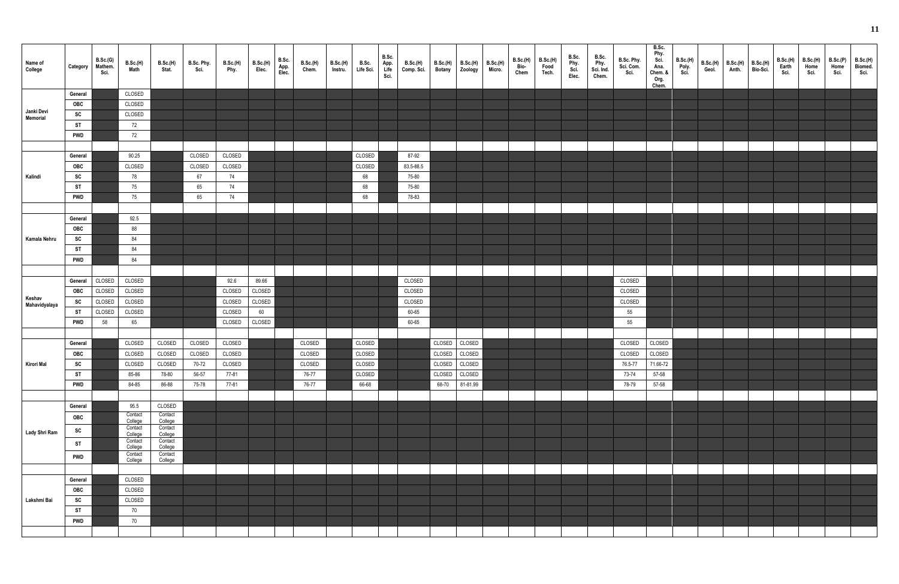| Name of<br>College      | Category        | B.Sc.(G)<br>Mathem.<br>Sci. | <b>B.Sc.(H)</b><br>Math | B.Sc.(H)<br>Stat.  | B.Sc. Phy.<br>Sci. | <b>B.Sc.(H)</b><br>Phy. | B.Sc.(H)<br>Elec. | B.Sc.<br>App.<br>Elec. | <b>B.Sc.(H)</b><br>Chem. | B.Sc.(H)<br>Instru. | B.Sc.<br>Life Sci. | B.Sc.<br>App.<br>Life<br>Sci. | <b>B.Sc.(H)</b><br>Comp. Sci. | B.Sc.(H)<br><b>Botany</b> | B.Sc.(H)<br>Zoology | <b>B.Sc.(H)</b><br>Micro. | $B.Sc.(H)$<br>Bio-<br>Chem | B.Sc.(H)<br>Food<br>Tech. | B.Sc.<br>Phy.<br>Sci.<br>Elec. | B.Sc.<br>Phy.<br>Sci. Ind.<br>Chem. | B.Sc. Phy.<br>Sci. Com.<br>Sci. | B.Sc.<br>Phy.<br>Sci.<br>Ana.<br>Chem. &<br>Org.<br>Chem. | B.Sc.(H)<br>Poly.<br>Sci. | B.Sc.(H)<br>Geol. | B.Sc.(H) B.Sc.(H)<br>Anth. Bio-Sci. | B.Sc.(H)<br>Earth<br>Sci. | B.Sc.(H)<br>Home<br>Sci. | B.Sc.(P)<br>Home<br>Sci. | B.Sc.(H)<br>Biomed.<br>Sci. |
|-------------------------|-----------------|-----------------------------|-------------------------|--------------------|--------------------|-------------------------|-------------------|------------------------|--------------------------|---------------------|--------------------|-------------------------------|-------------------------------|---------------------------|---------------------|---------------------------|----------------------------|---------------------------|--------------------------------|-------------------------------------|---------------------------------|-----------------------------------------------------------|---------------------------|-------------------|-------------------------------------|---------------------------|--------------------------|--------------------------|-----------------------------|
|                         | General         |                             | CLOSED                  |                    |                    |                         |                   |                        |                          |                     |                    |                               |                               |                           |                     |                           |                            |                           |                                |                                     |                                 |                                                           |                           |                   |                                     |                           |                          |                          |                             |
|                         | OBC             |                             | CLOSED                  |                    |                    |                         |                   |                        |                          |                     |                    |                               |                               |                           |                     |                           |                            |                           |                                |                                     |                                 |                                                           |                           |                   |                                     |                           |                          |                          |                             |
| Janki Devi<br>Memorial  | SC              |                             | CLOSED                  |                    |                    |                         |                   |                        |                          |                     |                    |                               |                               |                           |                     |                           |                            |                           |                                |                                     |                                 |                                                           |                           |                   |                                     |                           |                          |                          |                             |
|                         | <b>ST</b>       |                             | 72                      |                    |                    |                         |                   |                        |                          |                     |                    |                               |                               |                           |                     |                           |                            |                           |                                |                                     |                                 |                                                           |                           |                   |                                     |                           |                          |                          |                             |
|                         | <b>PWD</b>      |                             | 72                      |                    |                    |                         |                   |                        |                          |                     |                    |                               |                               |                           |                     |                           |                            |                           |                                |                                     |                                 |                                                           |                           |                   |                                     |                           |                          |                          |                             |
|                         |                 |                             |                         |                    |                    |                         |                   |                        |                          |                     |                    |                               |                               |                           |                     |                           |                            |                           |                                |                                     |                                 |                                                           |                           |                   |                                     |                           |                          |                          |                             |
|                         | General         |                             | 90.25                   |                    | CLOSED             | CLOSED                  |                   |                        |                          |                     | CLOSED             |                               | 87-92                         |                           |                     |                           |                            |                           |                                |                                     |                                 |                                                           |                           |                   |                                     |                           |                          |                          |                             |
|                         | OBC             |                             | CLOSED                  |                    | CLOSED             | CLOSED                  |                   |                        |                          |                     | CLOSED             |                               | 83.5-88.5                     |                           |                     |                           |                            |                           |                                |                                     |                                 |                                                           |                           |                   |                                     |                           |                          |                          |                             |
| Kalindi                 | SC              |                             | 78                      |                    | 67                 | 74                      |                   |                        |                          |                     | 68                 |                               | 75-80                         |                           |                     |                           |                            |                           |                                |                                     |                                 |                                                           |                           |                   |                                     |                           |                          |                          |                             |
|                         | <b>ST</b>       |                             | 75                      |                    | 65                 | 74                      |                   |                        |                          |                     | 68                 |                               | 75-80                         |                           |                     |                           |                            |                           |                                |                                     |                                 |                                                           |                           |                   |                                     |                           |                          |                          |                             |
|                         | <b>PWD</b>      |                             | 75                      |                    | 65                 | 74                      |                   |                        |                          |                     | 68                 |                               | 78-83                         |                           |                     |                           |                            |                           |                                |                                     |                                 |                                                           |                           |                   |                                     |                           |                          |                          |                             |
|                         |                 |                             |                         |                    |                    |                         |                   |                        |                          |                     |                    |                               |                               |                           |                     |                           |                            |                           |                                |                                     |                                 |                                                           |                           |                   |                                     |                           |                          |                          |                             |
|                         | General         |                             | 92.5                    |                    |                    |                         |                   |                        |                          |                     |                    |                               |                               |                           |                     |                           |                            |                           |                                |                                     |                                 |                                                           |                           |                   |                                     |                           |                          |                          |                             |
| Kamala Nehru            | OBC             |                             | 88                      |                    |                    |                         |                   |                        |                          |                     |                    |                               |                               |                           |                     |                           |                            |                           |                                |                                     |                                 |                                                           |                           |                   |                                     |                           |                          |                          |                             |
|                         | SC<br><b>ST</b> |                             | 84<br>84                |                    |                    |                         |                   |                        |                          |                     |                    |                               |                               |                           |                     |                           |                            |                           |                                |                                     |                                 |                                                           |                           |                   |                                     |                           |                          |                          |                             |
|                         | <b>PWD</b>      |                             | 84                      |                    |                    |                         |                   |                        |                          |                     |                    |                               |                               |                           |                     |                           |                            |                           |                                |                                     |                                 |                                                           |                           |                   |                                     |                           |                          |                          |                             |
|                         |                 |                             |                         |                    |                    |                         |                   |                        |                          |                     |                    |                               |                               |                           |                     |                           |                            |                           |                                |                                     |                                 |                                                           |                           |                   |                                     |                           |                          |                          |                             |
|                         | General         | CLOSED                      | CLOSED                  |                    |                    | 92.6                    | 89.66             |                        |                          |                     |                    |                               | CLOSED                        |                           |                     |                           |                            |                           |                                |                                     | CLOSED                          |                                                           |                           |                   |                                     |                           |                          |                          |                             |
|                         | OBC             | CLOSED                      | CLOSED                  |                    |                    | CLOSED                  | CLOSED            |                        |                          |                     |                    |                               | CLOSED                        |                           |                     |                           |                            |                           |                                |                                     | CLOSED                          |                                                           |                           |                   |                                     |                           |                          |                          |                             |
| Keshav<br>Mahavidyalaya | SC              | CLOSED                      | CLOSED                  |                    |                    | CLOSED                  | CLOSED            |                        |                          |                     |                    |                               | CLOSED                        |                           |                     |                           |                            |                           |                                |                                     | CLOSED                          |                                                           |                           |                   |                                     |                           |                          |                          |                             |
|                         | ST              | CLOSED                      | CLOSED                  |                    |                    | CLOSED                  | 60                |                        |                          |                     |                    |                               | 60-65                         |                           |                     |                           |                            |                           |                                |                                     | 55                              |                                                           |                           |                   |                                     |                           |                          |                          |                             |
|                         | <b>PWD</b>      | 58                          | 65                      |                    |                    | CLOSED                  | CLOSED            |                        |                          |                     |                    |                               | 60-65                         |                           |                     |                           |                            |                           |                                |                                     | 55                              |                                                           |                           |                   |                                     |                           |                          |                          |                             |
|                         |                 |                             |                         |                    |                    |                         |                   |                        |                          |                     |                    |                               |                               |                           |                     |                           |                            |                           |                                |                                     |                                 |                                                           |                           |                   |                                     |                           |                          |                          |                             |
|                         | General         |                             | CLOSED                  | CLOSED             | CLOSED             | CLOSED                  |                   |                        | CLOSED                   |                     | CLOSED             |                               |                               | CLOSED                    | CLOSED              |                           |                            |                           |                                |                                     | CLOSED                          | CLOSED                                                    |                           |                   |                                     |                           |                          |                          |                             |
|                         | <b>OBC</b>      |                             | CLOSED                  | CLOSED             | CLOSED             | CLOSED                  |                   |                        | CLOSED                   |                     | CLOSED             |                               |                               |                           | CLOSED CLOSED       |                           |                            |                           |                                |                                     | CLOSED                          | CLOSED                                                    |                           |                   |                                     |                           |                          |                          |                             |
| Kirori Mal              | SC              |                             | CLOSED                  | CLOSED             | 70-72              | CLOSED                  |                   |                        | CLOSED                   |                     | CLOSED             |                               |                               |                           | CLOSED CLOSED       |                           |                            |                           |                                |                                     | 76.5-77                         | 71.66-72                                                  |                           |                   |                                     |                           |                          |                          |                             |
|                         | <b>ST</b>       |                             | 85-86                   | 78-80              | 56-57              | 77-81                   |                   |                        | 76-77                    |                     | CLOSED             |                               |                               |                           | CLOSED CLOSED       |                           |                            |                           |                                |                                     | 73-74                           | 57-58                                                     |                           |                   |                                     |                           |                          |                          |                             |
|                         | <b>PWD</b>      |                             | 84-85                   | 86-88              | 75-78              | 77-81                   |                   |                        | 76-77                    |                     | 66-68              |                               |                               | 68-70                     | 81-81.99            |                           |                            |                           |                                |                                     | 78-79                           | 57-58                                                     |                           |                   |                                     |                           |                          |                          |                             |
|                         |                 |                             |                         |                    |                    |                         |                   |                        |                          |                     |                    |                               |                               |                           |                     |                           |                            |                           |                                |                                     |                                 |                                                           |                           |                   |                                     |                           |                          |                          |                             |
|                         | General         |                             | 95.5                    | CLOSED             |                    |                         |                   |                        |                          |                     |                    |                               |                               |                           |                     |                           |                            |                           |                                |                                     |                                 |                                                           |                           |                   |                                     |                           |                          |                          |                             |
|                         | OBC             |                             | Contact<br>College      | Contact<br>College |                    |                         |                   |                        |                          |                     |                    |                               |                               |                           |                     |                           |                            |                           |                                |                                     |                                 |                                                           |                           |                   |                                     |                           |                          |                          |                             |
| Lady Shri Ram           | SC              |                             | Contact                 | Contact            |                    |                         |                   |                        |                          |                     |                    |                               |                               |                           |                     |                           |                            |                           |                                |                                     |                                 |                                                           |                           |                   |                                     |                           |                          |                          |                             |
|                         | <b>ST</b>       |                             | College<br>Contact      | College<br>Contact |                    |                         |                   |                        |                          |                     |                    |                               |                               |                           |                     |                           |                            |                           |                                |                                     |                                 |                                                           |                           |                   |                                     |                           |                          |                          |                             |
|                         |                 |                             | College<br>Contact      | College<br>Contact |                    |                         |                   |                        |                          |                     |                    |                               |                               |                           |                     |                           |                            |                           |                                |                                     |                                 |                                                           |                           |                   |                                     |                           |                          |                          |                             |
|                         | <b>PWD</b>      |                             | College                 | College            |                    |                         |                   |                        |                          |                     |                    |                               |                               |                           |                     |                           |                            |                           |                                |                                     |                                 |                                                           |                           |                   |                                     |                           |                          |                          |                             |
|                         |                 |                             |                         |                    |                    |                         |                   |                        |                          |                     |                    |                               |                               |                           |                     |                           |                            |                           |                                |                                     |                                 |                                                           |                           |                   |                                     |                           |                          |                          |                             |
|                         | General         |                             | CLOSED                  |                    |                    |                         |                   |                        |                          |                     |                    |                               |                               |                           |                     |                           |                            |                           |                                |                                     |                                 |                                                           |                           |                   |                                     |                           |                          |                          |                             |
|                         | OBC             |                             | CLOSED                  |                    |                    |                         |                   |                        |                          |                     |                    |                               |                               |                           |                     |                           |                            |                           |                                |                                     |                                 |                                                           |                           |                   |                                     |                           |                          |                          |                             |
| Lakshmi Bai             | SC              |                             | CLOSED                  |                    |                    |                         |                   |                        |                          |                     |                    |                               |                               |                           |                     |                           |                            |                           |                                |                                     |                                 |                                                           |                           |                   |                                     |                           |                          |                          |                             |
|                         | <b>ST</b>       |                             | 70                      |                    |                    |                         |                   |                        |                          |                     |                    |                               |                               |                           |                     |                           |                            |                           |                                |                                     |                                 |                                                           |                           |                   |                                     |                           |                          |                          |                             |
|                         | <b>PWD</b>      |                             | 70                      |                    |                    |                         |                   |                        |                          |                     |                    |                               |                               |                           |                     |                           |                            |                           |                                |                                     |                                 |                                                           |                           |                   |                                     |                           |                          |                          |                             |
|                         |                 |                             |                         |                    |                    |                         |                   |                        |                          |                     |                    |                               |                               |                           |                     |                           |                            |                           |                                |                                     |                                 |                                                           |                           |                   |                                     |                           |                          |                          |                             |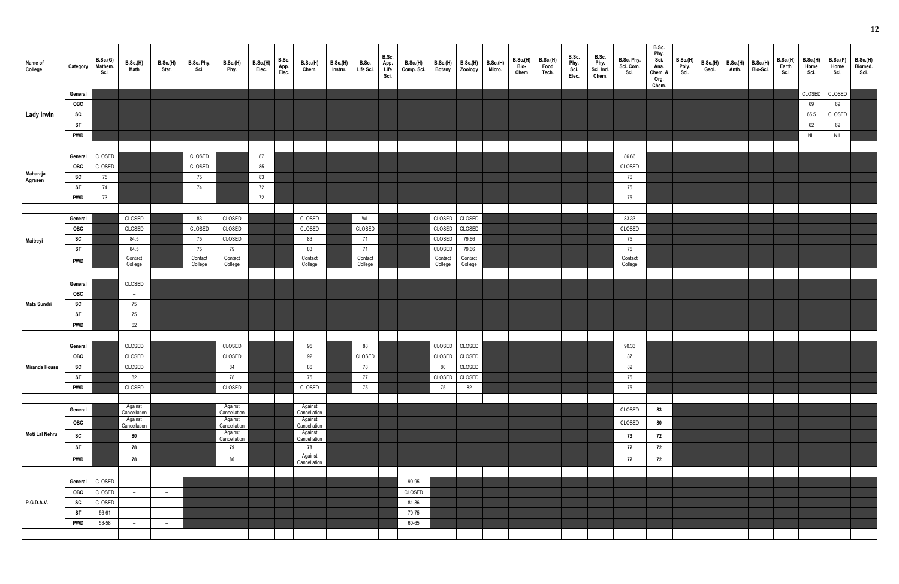| Name of<br>College | Category   | B.Sc.(G)<br>Mathem.<br>Sci. | B.Sc.(H)<br>Math        | B.Sc.(H)<br>Stat.        | B.Sc. Phy.<br>Sci. | B.Sc.(H)<br>Phy.        | B.Sc.(H)<br>Elec. | B.Sc.<br>App.<br>Elec. | <b>B.Sc.(H)</b><br>Chem. | B.Sc.(H)<br>Instru. | B.Sc.<br>Life Sci. | B.Sc.<br>App.<br>Life<br>Sci. | B.Sc.(H)<br>Comp. Sci. | B.Sc.(H)<br><b>Botany</b> | B.Sc.(H)<br>Zoology | B.Sc.(H)<br>Micro. | B.Sc.(H)<br>Bio-<br>Chem | B.Sc.(H)<br>Food<br>Tech. | B.Sc.<br>Phy.<br>Sci.<br>Elec. | B.Sc.<br>Phy.<br>Sci. Ind.<br>Chem. | B.Sc. Phy.<br>Sci. Com.<br>Sci. | B.Sc.<br>Phy.<br>Sci.<br>Ana.<br>Chem. &<br>Org.<br>Chem. | B.Sc.(H)<br>Poly.<br>Sci. | B.Sc.(H)<br>Geol. | B.Sc.(H)<br>Anth. | B.Sc.(H)<br>Bio-Sci. | B.Sc.(H)<br>Earth<br>Sci. | B.Sc.(H)<br>Home<br>Sci. | B.Sc.(P)<br>Home<br>Sci. | <b>B.Sc.(H)</b><br>Biomed.<br>Sci. |
|--------------------|------------|-----------------------------|-------------------------|--------------------------|--------------------|-------------------------|-------------------|------------------------|--------------------------|---------------------|--------------------|-------------------------------|------------------------|---------------------------|---------------------|--------------------|--------------------------|---------------------------|--------------------------------|-------------------------------------|---------------------------------|-----------------------------------------------------------|---------------------------|-------------------|-------------------|----------------------|---------------------------|--------------------------|--------------------------|------------------------------------|
|                    | General    |                             |                         |                          |                    |                         |                   |                        |                          |                     |                    |                               |                        |                           |                     |                    |                          |                           |                                |                                     |                                 |                                                           |                           |                   |                   |                      |                           | CLOSED                   | CLOSED                   |                                    |
|                    | OBC        |                             |                         |                          |                    |                         |                   |                        |                          |                     |                    |                               |                        |                           |                     |                    |                          |                           |                                |                                     |                                 |                                                           |                           |                   |                   |                      |                           | 69                       | 69                       |                                    |
| <b>Lady Irwin</b>  | SC         |                             |                         |                          |                    |                         |                   |                        |                          |                     |                    |                               |                        |                           |                     |                    |                          |                           |                                |                                     |                                 |                                                           |                           |                   |                   |                      |                           | 65.5                     | CLOSED                   |                                    |
|                    | <b>ST</b>  |                             |                         |                          |                    |                         |                   |                        |                          |                     |                    |                               |                        |                           |                     |                    |                          |                           |                                |                                     |                                 |                                                           |                           |                   |                   |                      |                           | 62                       | 62                       |                                    |
|                    | <b>PWD</b> |                             |                         |                          |                    |                         |                   |                        |                          |                     |                    |                               |                        |                           |                     |                    |                          |                           |                                |                                     |                                 |                                                           |                           |                   |                   |                      |                           | NIL                      | NIL                      |                                    |
|                    | General    | CLOSED                      |                         |                          | CLOSED             |                         | 87                |                        |                          |                     |                    |                               |                        |                           |                     |                    |                          |                           |                                |                                     | 86.66                           |                                                           |                           |                   |                   |                      |                           |                          |                          |                                    |
|                    | OBC        | CLOSED                      |                         |                          | CLOSED             |                         | 85                |                        |                          |                     |                    |                               |                        |                           |                     |                    |                          |                           |                                |                                     | CLOSED                          |                                                           |                           |                   |                   |                      |                           |                          |                          |                                    |
| Maharaja           | SC         | 75                          |                         |                          | 75                 |                         | 83                |                        |                          |                     |                    |                               |                        |                           |                     |                    |                          |                           |                                |                                     | 76                              |                                                           |                           |                   |                   |                      |                           |                          |                          |                                    |
| Agrasen            | ST         | 74                          |                         |                          | 74                 |                         | 72                |                        |                          |                     |                    |                               |                        |                           |                     |                    |                          |                           |                                |                                     | 75                              |                                                           |                           |                   |                   |                      |                           |                          |                          |                                    |
|                    | <b>PWD</b> | 73                          |                         |                          | $-$                |                         | 72                |                        |                          |                     |                    |                               |                        |                           |                     |                    |                          |                           |                                |                                     | 75                              |                                                           |                           |                   |                   |                      |                           |                          |                          |                                    |
|                    |            |                             |                         |                          |                    |                         |                   |                        |                          |                     |                    |                               |                        |                           |                     |                    |                          |                           |                                |                                     |                                 |                                                           |                           |                   |                   |                      |                           |                          |                          |                                    |
|                    | General    |                             | CLOSED                  |                          | 83                 | CLOSED                  |                   |                        | CLOSED                   |                     | WL                 |                               |                        | CLOSED                    | CLOSED              |                    |                          |                           |                                |                                     | 83.33                           |                                                           |                           |                   |                   |                      |                           |                          |                          |                                    |
|                    | OBC        |                             | CLOSED                  |                          | CLOSED             | CLOSED                  |                   |                        | CLOSED                   |                     | CLOSED             |                               |                        | CLOSED                    | CLOSED              |                    |                          |                           |                                |                                     | CLOSED                          |                                                           |                           |                   |                   |                      |                           |                          |                          |                                    |
| Maitreyi           | SC         |                             | 84.5                    |                          | 75                 | CLOSED                  |                   |                        | 83                       |                     | 71                 |                               |                        | CLOSED                    | 79.66               |                    |                          |                           |                                |                                     | 75                              |                                                           |                           |                   |                   |                      |                           |                          |                          |                                    |
|                    | ST         |                             | 84.5                    |                          | 75                 | 79                      |                   |                        | 83                       |                     | 71                 |                               |                        | CLOSED                    | 79.66               |                    |                          |                           |                                |                                     | 75                              |                                                           |                           |                   |                   |                      |                           |                          |                          |                                    |
|                    | <b>PWD</b> |                             | Contact<br>College      |                          | Contact<br>College | Contact<br>College      |                   |                        | Contact<br>College       |                     | Contact<br>College |                               |                        | Contact<br>College        | Contact<br>College  |                    |                          |                           |                                |                                     | Contact<br>College              |                                                           |                           |                   |                   |                      |                           |                          |                          |                                    |
|                    |            |                             |                         |                          |                    |                         |                   |                        |                          |                     |                    |                               |                        |                           |                     |                    |                          |                           |                                |                                     |                                 |                                                           |                           |                   |                   |                      |                           |                          |                          |                                    |
|                    | General    |                             | CLOSED                  |                          |                    |                         |                   |                        |                          |                     |                    |                               |                        |                           |                     |                    |                          |                           |                                |                                     |                                 |                                                           |                           |                   |                   |                      |                           |                          |                          |                                    |
|                    | OBC        |                             | $\sim$                  |                          |                    |                         |                   |                        |                          |                     |                    |                               |                        |                           |                     |                    |                          |                           |                                |                                     |                                 |                                                           |                           |                   |                   |                      |                           |                          |                          |                                    |
| <b>Mata Sundri</b> | SC         |                             | 75                      |                          |                    |                         |                   |                        |                          |                     |                    |                               |                        |                           |                     |                    |                          |                           |                                |                                     |                                 |                                                           |                           |                   |                   |                      |                           |                          |                          |                                    |
|                    | ST         |                             | 75                      |                          |                    |                         |                   |                        |                          |                     |                    |                               |                        |                           |                     |                    |                          |                           |                                |                                     |                                 |                                                           |                           |                   |                   |                      |                           |                          |                          |                                    |
|                    | <b>PWD</b> |                             | 62                      |                          |                    |                         |                   |                        |                          |                     |                    |                               |                        |                           |                     |                    |                          |                           |                                |                                     |                                 |                                                           |                           |                   |                   |                      |                           |                          |                          |                                    |
|                    |            |                             |                         |                          |                    |                         |                   |                        |                          |                     |                    |                               |                        |                           |                     |                    |                          |                           |                                |                                     |                                 |                                                           |                           |                   |                   |                      |                           |                          |                          |                                    |
|                    | General    |                             | CLOSED                  |                          |                    | CLOSED                  |                   |                        | 95                       |                     | 88                 |                               |                        |                           | CLOSED CLOSED       |                    |                          |                           |                                |                                     | 90.33                           |                                                           |                           |                   |                   |                      |                           |                          |                          |                                    |
|                    | OBC        |                             | CLOSED                  |                          |                    | CLOSED                  |                   |                        | 92                       |                     | CLOSED             |                               |                        | CLOSED                    | CLOSED              |                    |                          |                           |                                |                                     | 87                              |                                                           |                           |                   |                   |                      |                           |                          |                          |                                    |
| Miranda House      | SC         |                             | CLOSED                  |                          |                    | 84                      |                   |                        | 86                       |                     | 78                 |                               |                        | 80                        | CLOSED              |                    |                          |                           |                                |                                     | 82                              |                                                           |                           |                   |                   |                      |                           |                          |                          |                                    |
|                    | <b>ST</b>  |                             | 82                      |                          |                    | 78                      |                   |                        | 75                       |                     | 77                 |                               |                        | CLOSED                    | CLOSED              |                    |                          |                           |                                |                                     | 75                              |                                                           |                           |                   |                   |                      |                           |                          |                          |                                    |
|                    | <b>PWD</b> |                             | CLOSED                  |                          |                    | CLOSED                  |                   |                        | CLOSED                   |                     | 75                 |                               |                        | 75                        | 82                  |                    |                          |                           |                                |                                     | 75                              |                                                           |                           |                   |                   |                      |                           |                          |                          |                                    |
|                    |            |                             | Against                 |                          |                    | Against                 |                   |                        | Against                  |                     |                    |                               |                        |                           |                     |                    |                          |                           |                                |                                     |                                 |                                                           |                           |                   |                   |                      |                           |                          |                          |                                    |
|                    | General    |                             | Cancellation<br>Against |                          |                    | Cancellation<br>Against |                   |                        | Cancellation<br>Against  |                     |                    |                               |                        |                           |                     |                    |                          |                           |                                |                                     | CLOSED                          | 83                                                        |                           |                   |                   |                      |                           |                          |                          |                                    |
|                    | OBC        |                             | Cancellation            |                          |                    | Cancellation            |                   |                        | Cancellation             |                     |                    |                               |                        |                           |                     |                    |                          |                           |                                |                                     | CLOSED                          | 80                                                        |                           |                   |                   |                      |                           |                          |                          |                                    |
| Moti Lal Nehru     | SC         |                             | 80                      |                          |                    | Against<br>Cancellation |                   |                        | Against<br>Cancellation  |                     |                    |                               |                        |                           |                     |                    |                          |                           |                                |                                     | 73                              | 72                                                        |                           |                   |                   |                      |                           |                          |                          |                                    |
|                    | <b>ST</b>  |                             | 78                      |                          |                    | 79                      |                   |                        | 78                       |                     |                    |                               |                        |                           |                     |                    |                          |                           |                                |                                     | 72                              | 72                                                        |                           |                   |                   |                      |                           |                          |                          |                                    |
|                    | <b>PWD</b> |                             | 78                      |                          |                    | 80                      |                   |                        | Against<br>Cancellation  |                     |                    |                               |                        |                           |                     |                    |                          |                           |                                |                                     | 72                              | 72                                                        |                           |                   |                   |                      |                           |                          |                          |                                    |
|                    |            |                             |                         |                          |                    |                         |                   |                        |                          |                     |                    |                               |                        |                           |                     |                    |                          |                           |                                |                                     |                                 |                                                           |                           |                   |                   |                      |                           |                          |                          |                                    |
|                    | General    | CLOSED                      | $ \,$                   | $\overline{\phantom{0}}$ |                    |                         |                   |                        |                          |                     |                    |                               | 90-95                  |                           |                     |                    |                          |                           |                                |                                     |                                 |                                                           |                           |                   |                   |                      |                           |                          |                          |                                    |
|                    | OBC        | CLOSED                      | $\sim$                  | $-$                      |                    |                         |                   |                        |                          |                     |                    |                               | CLOSED                 |                           |                     |                    |                          |                           |                                |                                     |                                 |                                                           |                           |                   |                   |                      |                           |                          |                          |                                    |
| <b>P.G.D.A.V.</b>  | SC         | CLOSED                      | $-$                     | $-$                      |                    |                         |                   |                        |                          |                     |                    |                               | 81-86                  |                           |                     |                    |                          |                           |                                |                                     |                                 |                                                           |                           |                   |                   |                      |                           |                          |                          |                                    |
|                    | ST         | 56-61                       | $-$                     | $-$                      |                    |                         |                   |                        |                          |                     |                    |                               | 70-75                  |                           |                     |                    |                          |                           |                                |                                     |                                 |                                                           |                           |                   |                   |                      |                           |                          |                          |                                    |
|                    | <b>PWD</b> | 53-58                       | $-$                     | $-$                      |                    |                         |                   |                        |                          |                     |                    |                               | 60-65                  |                           |                     |                    |                          |                           |                                |                                     |                                 |                                                           |                           |                   |                   |                      |                           |                          |                          |                                    |
|                    |            |                             |                         |                          |                    |                         |                   |                        |                          |                     |                    |                               |                        |                           |                     |                    |                          |                           |                                |                                     |                                 |                                                           |                           |                   |                   |                      |                           |                          |                          |                                    |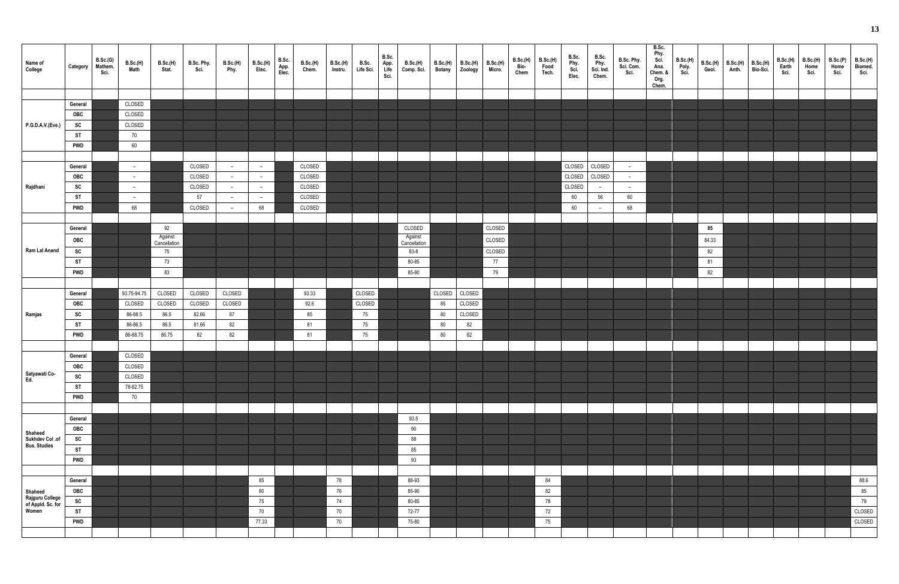| Name of<br>College                            | Category   | B.Sc.(G)<br>Mathem.<br>Sci. | <b>B.Sc.(H)</b><br>Math  | <b>B.Sc.(H)</b><br>Stat. | B.Sc. Phy.<br>Sci. | <b>B.Sc.(H)</b><br>Phy.  | B.Sc.(H)<br>Elec.       | B.Sc.<br>App.<br>Elec. | B.Sc.(H)<br>Chem. | <b>B.Sc.(H)</b><br>Instru. | B.Sc.<br>Life Sci. | B.Sc.<br>App.<br>Life<br>Sci. | B.Sc.(H)<br>Comp. Sci. | <b>B.Sc.(H)</b><br><b>Botany</b> | B.Sc.(H)<br>Zoology | B.Sc.(H)<br>Micro. | <b>B.Sc.(H)</b><br>Bio-<br>Chem | B.Sc.(H)<br>Food<br>Tech. | B.Sc.<br>Phy.<br>Sci.<br>Elec. | B.Sc.<br>Phy.<br>Sci. Ind.<br>Chem. | B.Sc. Phy.<br>Sci. Com.<br>Sci. | B.Sc.<br>Phy.<br>Sci.<br>Ana.<br>Chem. &<br>Org.<br>Chem. | B.Sc.(H)<br>Poly.<br>Sci. | B.Sc.(H)<br>Geol. | B.Sc.(H)<br>Anth. | <b>B.Sc.(H)</b><br>Bio-Sci. | B.Sc.(H)<br>Earth<br>Sci. | B.Sc.(H)<br>Home<br>Sci. | B.Sc.(P)<br>Home<br>Sci. | B.Sc.(H)<br>Biomed.<br>Sci. |
|-----------------------------------------------|------------|-----------------------------|--------------------------|--------------------------|--------------------|--------------------------|-------------------------|------------------------|-------------------|----------------------------|--------------------|-------------------------------|------------------------|----------------------------------|---------------------|--------------------|---------------------------------|---------------------------|--------------------------------|-------------------------------------|---------------------------------|-----------------------------------------------------------|---------------------------|-------------------|-------------------|-----------------------------|---------------------------|--------------------------|--------------------------|-----------------------------|
|                                               |            |                             |                          |                          |                    |                          |                         |                        |                   |                            |                    |                               |                        |                                  |                     |                    |                                 |                           |                                |                                     |                                 |                                                           |                           |                   |                   |                             |                           |                          |                          |                             |
|                                               | General    |                             | CLOSED                   |                          |                    |                          |                         |                        |                   |                            |                    |                               |                        |                                  |                     |                    |                                 |                           |                                |                                     |                                 |                                                           |                           |                   |                   |                             |                           |                          |                          |                             |
|                                               | OBC        |                             | CLOSED                   |                          |                    |                          |                         |                        |                   |                            |                    |                               |                        |                                  |                     |                    |                                 |                           |                                |                                     |                                 |                                                           |                           |                   |                   |                             |                           |                          |                          |                             |
| P.G.D.A.V.(Eve.)                              | SC         |                             | CLOSED                   |                          |                    |                          |                         |                        |                   |                            |                    |                               |                        |                                  |                     |                    |                                 |                           |                                |                                     |                                 |                                                           |                           |                   |                   |                             |                           |                          |                          |                             |
|                                               | <b>ST</b>  |                             | 70                       |                          |                    |                          |                         |                        |                   |                            |                    |                               |                        |                                  |                     |                    |                                 |                           |                                |                                     |                                 |                                                           |                           |                   |                   |                             |                           |                          |                          |                             |
|                                               | <b>PWD</b> |                             | 60                       |                          |                    |                          |                         |                        |                   |                            |                    |                               |                        |                                  |                     |                    |                                 |                           |                                |                                     |                                 |                                                           |                           |                   |                   |                             |                           |                          |                          |                             |
|                                               | General    |                             |                          |                          | CLOSED             | $\overline{\phantom{m}}$ |                         |                        | CLOSED            |                            |                    |                               |                        |                                  |                     |                    |                                 |                           | CLOSED                         | CLOSED                              |                                 |                                                           |                           |                   |                   |                             |                           |                          |                          |                             |
|                                               | OBC        |                             | $\sim$<br>$-$            |                          | CLOSED             | $-$                      | $ \,$<br>$\overline{a}$ |                        | CLOSED            |                            |                    |                               |                        |                                  |                     |                    |                                 |                           | CLOSED                         | CLOSED                              | $ \,$<br>$\sim$                 |                                                           |                           |                   |                   |                             |                           |                          |                          |                             |
| Rajdhani                                      | SC         |                             | $\overline{\phantom{m}}$ |                          | CLOSED             | $\overline{\phantom{a}}$ | $-$                     |                        | CLOSED            |                            |                    |                               |                        |                                  |                     |                    |                                 |                           | CLOSED                         |                                     | $\qquad \qquad -$               |                                                           |                           |                   |                   |                             |                           |                          |                          |                             |
|                                               | <b>ST</b>  |                             | $\sim$                   |                          | 57                 | $\sim$                   | $\overline{a}$          |                        | CLOSED            |                            |                    |                               |                        |                                  |                     |                    |                                 |                           | 60                             | 56                                  | 60                              |                                                           |                           |                   |                   |                             |                           |                          |                          |                             |
|                                               | <b>PWD</b> |                             | 68                       |                          | CLOSED             | $\overline{\phantom{a}}$ | 68                      |                        | CLOSED            |                            |                    |                               |                        |                                  |                     |                    |                                 |                           | 60                             |                                     | 68                              |                                                           |                           |                   |                   |                             |                           |                          |                          |                             |
|                                               |            |                             |                          |                          |                    |                          |                         |                        |                   |                            |                    |                               |                        |                                  |                     |                    |                                 |                           |                                |                                     |                                 |                                                           |                           |                   |                   |                             |                           |                          |                          |                             |
|                                               | General    |                             |                          | 92                       |                    |                          |                         |                        |                   |                            |                    |                               | CLOSED                 |                                  |                     | CLOSED             |                                 |                           |                                |                                     |                                 |                                                           |                           | 85                |                   |                             |                           |                          |                          |                             |
|                                               | OBC        |                             |                          | Against                  |                    |                          |                         |                        |                   |                            |                    |                               | Against                |                                  |                     | CLOSED             |                                 |                           |                                |                                     |                                 |                                                           |                           | 84.33             |                   |                             |                           |                          |                          |                             |
| Ram Lal Anand                                 | SC         |                             |                          | Cancellation<br>75       |                    |                          |                         |                        |                   |                            |                    |                               | Cancellation<br>83-8   |                                  |                     | CLOSED             |                                 |                           |                                |                                     |                                 |                                                           |                           | 82                |                   |                             |                           |                          |                          |                             |
|                                               | ST         |                             |                          | 73                       |                    |                          |                         |                        |                   |                            |                    |                               | 80-85                  |                                  |                     | 77                 |                                 |                           |                                |                                     |                                 |                                                           |                           | 81                |                   |                             |                           |                          |                          |                             |
|                                               | <b>PWD</b> |                             |                          | 83                       |                    |                          |                         |                        |                   |                            |                    |                               | 85-90                  |                                  |                     | 79                 |                                 |                           |                                |                                     |                                 |                                                           |                           | 82                |                   |                             |                           |                          |                          |                             |
|                                               |            |                             |                          |                          |                    |                          |                         |                        |                   |                            |                    |                               |                        |                                  |                     |                    |                                 |                           |                                |                                     |                                 |                                                           |                           |                   |                   |                             |                           |                          |                          |                             |
|                                               | General    |                             | 93.75-94.75              | CLOSED                   | CLOSED             | CLOSED                   |                         |                        | 93.33             |                            | CLOSED             |                               |                        | CLOSED                           | CLOSED              |                    |                                 |                           |                                |                                     |                                 |                                                           |                           |                   |                   |                             |                           |                          |                          |                             |
|                                               | OBC        |                             | CLOSED                   | CLOSED                   | CLOSED             | CLOSED                   |                         |                        | 92.6              |                            | CLOSED             |                               |                        | 85                               | CLOSED              |                    |                                 |                           |                                |                                     |                                 |                                                           |                           |                   |                   |                             |                           |                          |                          |                             |
| Ramjas                                        | SC         |                             | 86-88.5                  | 86.5                     | 82.66              | 87                       |                         |                        | 85                |                            | 75                 |                               |                        | 80                               | CLOSED              |                    |                                 |                           |                                |                                     |                                 |                                                           |                           |                   |                   |                             |                           |                          |                          |                             |
|                                               | <b>ST</b>  |                             | 86-86.5                  | 86.5                     | 81.66              | 82                       |                         |                        | 81                |                            | 75                 |                               |                        | 80                               | 82                  |                    |                                 |                           |                                |                                     |                                 |                                                           |                           |                   |                   |                             |                           |                          |                          |                             |
|                                               | <b>PWD</b> |                             | 86-88.75                 | 86.75                    | 82                 | 82                       |                         |                        | 81                |                            | 75                 |                               |                        | 80                               | 82                  |                    |                                 |                           |                                |                                     |                                 |                                                           |                           |                   |                   |                             |                           |                          |                          |                             |
|                                               |            |                             |                          |                          |                    |                          |                         |                        |                   |                            |                    |                               |                        |                                  |                     |                    |                                 |                           |                                |                                     |                                 |                                                           |                           |                   |                   |                             |                           |                          |                          |                             |
|                                               | General    |                             | CLOSED                   |                          |                    |                          |                         |                        |                   |                            |                    |                               |                        |                                  |                     |                    |                                 |                           |                                |                                     |                                 |                                                           |                           |                   |                   |                             |                           |                          |                          |                             |
|                                               | OBC        |                             | CLOSED                   |                          |                    |                          |                         |                        |                   |                            |                    |                               |                        |                                  |                     |                    |                                 |                           |                                |                                     |                                 |                                                           |                           |                   |                   |                             |                           |                          |                          |                             |
| Satyawati Co-<br>Ed.                          | SC         |                             | CLOSED                   |                          |                    |                          |                         |                        |                   |                            |                    |                               |                        |                                  |                     |                    |                                 |                           |                                |                                     |                                 |                                                           |                           |                   |                   |                             |                           |                          |                          |                             |
|                                               | ST         |                             | 78-82.75                 |                          |                    |                          |                         |                        |                   |                            |                    |                               |                        |                                  |                     |                    |                                 |                           |                                |                                     |                                 |                                                           |                           |                   |                   |                             |                           |                          |                          |                             |
|                                               | <b>PWD</b> |                             | 70                       |                          |                    |                          |                         |                        |                   |                            |                    |                               |                        |                                  |                     |                    |                                 |                           |                                |                                     |                                 |                                                           |                           |                   |                   |                             |                           |                          |                          |                             |
|                                               |            |                             |                          |                          |                    |                          |                         |                        |                   |                            |                    |                               |                        |                                  |                     |                    |                                 |                           |                                |                                     |                                 |                                                           |                           |                   |                   |                             |                           |                          |                          |                             |
|                                               | General    |                             |                          |                          |                    |                          |                         |                        |                   |                            |                    |                               | 93.5                   |                                  |                     |                    |                                 |                           |                                |                                     |                                 |                                                           |                           |                   |                   |                             |                           |                          |                          |                             |
| Shaheed                                       | OBC        |                             |                          |                          |                    |                          |                         |                        |                   |                            |                    |                               | 90                     |                                  |                     |                    |                                 |                           |                                |                                     |                                 |                                                           |                           |                   |                   |                             |                           |                          |                          |                             |
| Sukhdev Col.of<br><b>Bus. Studies</b>         | SC         |                             |                          |                          |                    |                          |                         |                        |                   |                            |                    |                               | 88                     |                                  |                     |                    |                                 |                           |                                |                                     |                                 |                                                           |                           |                   |                   |                             |                           |                          |                          |                             |
|                                               | <b>ST</b>  |                             |                          |                          |                    |                          |                         |                        |                   |                            |                    |                               | 85                     |                                  |                     |                    |                                 |                           |                                |                                     |                                 |                                                           |                           |                   |                   |                             |                           |                          |                          |                             |
|                                               | <b>PWD</b> |                             |                          |                          |                    |                          |                         |                        |                   |                            |                    |                               | 93                     |                                  |                     |                    |                                 |                           |                                |                                     |                                 |                                                           |                           |                   |                   |                             |                           |                          |                          |                             |
|                                               |            |                             |                          |                          |                    |                          |                         |                        |                   |                            |                    |                               |                        |                                  |                     |                    |                                 |                           |                                |                                     |                                 |                                                           |                           |                   |                   |                             |                           |                          |                          |                             |
|                                               | General    |                             |                          |                          |                    |                          | 85                      |                        |                   | 78                         |                    |                               | 88-93                  |                                  |                     |                    |                                 | 84                        |                                |                                     |                                 |                                                           |                           |                   |                   |                             |                           |                          |                          | 88.6                        |
| Shaheed                                       | OBC        |                             |                          |                          |                    |                          | 80                      |                        |                   | 76                         |                    |                               | 85-90                  |                                  |                     |                    |                                 | 82                        |                                |                                     |                                 |                                                           |                           |                   |                   |                             |                           |                          |                          | 85                          |
| Rajguru College<br>of Appld. Sc. for<br>Women | SC         |                             |                          |                          |                    |                          | 75                      |                        |                   | 74                         |                    |                               | 80-85                  |                                  |                     |                    |                                 | 78                        |                                |                                     |                                 |                                                           |                           |                   |                   |                             |                           |                          |                          | 79                          |
|                                               | <b>ST</b>  |                             |                          |                          |                    |                          | 70                      |                        |                   | 70                         |                    |                               | 72-77                  |                                  |                     |                    |                                 | 72                        |                                |                                     |                                 |                                                           |                           |                   |                   |                             |                           |                          |                          | CLOSED                      |
|                                               | <b>PWD</b> |                             |                          |                          |                    |                          | 77.33                   |                        |                   | $70\,$                     |                    |                               | 75-80                  |                                  |                     |                    |                                 | 75                        |                                |                                     |                                 |                                                           |                           |                   |                   |                             |                           |                          |                          | CLOSED                      |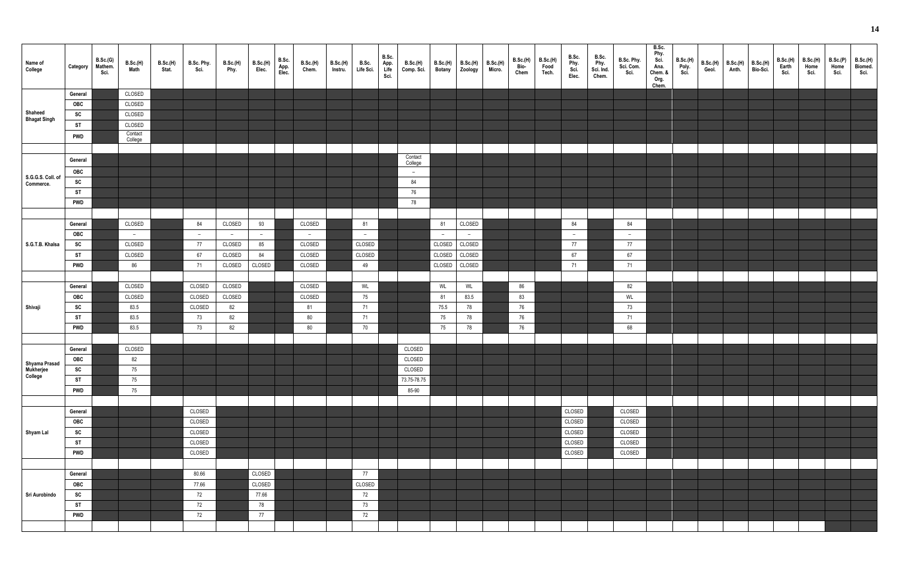| Name of<br>College                    | Category                | B.Sc.(G)<br>Mathem.<br>Sci. | <b>B.Sc.(H)</b><br>Math | <b>B.Sc.(H)</b><br>Stat. | B.Sc. Phy.<br>Sci. | <b>B.Sc.(H)</b><br>Phy. | B.Sc.(H)<br>Elec. | B.Sc.<br>App.<br>Elec. | B.Sc.(H)<br>Chem. | B.Sc.(H)<br>Instru. | B.Sc.<br>Life Sci. | B.Sc.<br>App.<br>Life<br>Sci. | B.Sc.(H)<br>Comp. Sci. | B.Sc.(H)<br><b>Botany</b> | B.Sc.(H) B.Sc.(H)<br>Zoology Micro. | $B.Sc.(H)$<br>Bio-<br>Chem | B.Sc.(H)<br>Food<br>Tech. | B.Sc.<br>Phy.<br>Sci.<br>Elec. | B.Sc.<br>Phy.<br>Sci. Ind.<br>Chem. | B.Sc. Phy.<br>Sci. Com.<br>Sci. | B.Sc.<br>Phy.<br>Sci.<br>Ana.<br>Chem. &<br>Org.<br>Chem. | B.Sc.(H)<br>Poly.<br>Sci. | B.Sc.(H)<br>Geol. | B.Sc.(H) B.Sc.(H)<br>Anth. Bio-Sci. | B.Sc.(H)<br>Earth<br>Sci. | B.Sc.(H)<br>Home<br>Sci. | B.Sc.(P)<br>Home<br>Sci. | B.Sc.(H)<br>Biomed.<br>Sci. |
|---------------------------------------|-------------------------|-----------------------------|-------------------------|--------------------------|--------------------|-------------------------|-------------------|------------------------|-------------------|---------------------|--------------------|-------------------------------|------------------------|---------------------------|-------------------------------------|----------------------------|---------------------------|--------------------------------|-------------------------------------|---------------------------------|-----------------------------------------------------------|---------------------------|-------------------|-------------------------------------|---------------------------|--------------------------|--------------------------|-----------------------------|
|                                       | General                 |                             | CLOSED                  |                          |                    |                         |                   |                        |                   |                     |                    |                               |                        |                           |                                     |                            |                           |                                |                                     |                                 |                                                           |                           |                   |                                     |                           |                          |                          |                             |
|                                       | OBC                     |                             | CLOSED                  |                          |                    |                         |                   |                        |                   |                     |                    |                               |                        |                           |                                     |                            |                           |                                |                                     |                                 |                                                           |                           |                   |                                     |                           |                          |                          |                             |
| Shaheed<br><b>Bhagat Singh</b>        | SC                      |                             | CLOSED                  |                          |                    |                         |                   |                        |                   |                     |                    |                               |                        |                           |                                     |                            |                           |                                |                                     |                                 |                                                           |                           |                   |                                     |                           |                          |                          |                             |
|                                       | <b>ST</b>               |                             | CLOSED<br>Contact       |                          |                    |                         |                   |                        |                   |                     |                    |                               |                        |                           |                                     |                            |                           |                                |                                     |                                 |                                                           |                           |                   |                                     |                           |                          |                          |                             |
|                                       | <b>PWD</b>              |                             | College                 |                          |                    |                         |                   |                        |                   |                     |                    |                               |                        |                           |                                     |                            |                           |                                |                                     |                                 |                                                           |                           |                   |                                     |                           |                          |                          |                             |
|                                       |                         |                             |                         |                          |                    |                         |                   |                        |                   |                     |                    |                               | Contact                |                           |                                     |                            |                           |                                |                                     |                                 |                                                           |                           |                   |                                     |                           |                          |                          |                             |
|                                       | General                 |                             |                         |                          |                    |                         |                   |                        |                   |                     |                    |                               | College                |                           |                                     |                            |                           |                                |                                     |                                 |                                                           |                           |                   |                                     |                           |                          |                          |                             |
| S.G.G.S. Coll. of                     | OBC                     |                             |                         |                          |                    |                         |                   |                        |                   |                     |                    |                               | $\sim$                 |                           |                                     |                            |                           |                                |                                     |                                 |                                                           |                           |                   |                                     |                           |                          |                          |                             |
| Commerce.                             | SC                      |                             |                         |                          |                    |                         |                   |                        |                   |                     |                    |                               | 84                     |                           |                                     |                            |                           |                                |                                     |                                 |                                                           |                           |                   |                                     |                           |                          |                          |                             |
|                                       | <b>ST</b><br><b>PWD</b> |                             |                         |                          |                    |                         |                   |                        |                   |                     |                    |                               | 76<br>78               |                           |                                     |                            |                           |                                |                                     |                                 |                                                           |                           |                   |                                     |                           |                          |                          |                             |
|                                       |                         |                             |                         |                          |                    |                         |                   |                        |                   |                     |                    |                               |                        |                           |                                     |                            |                           |                                |                                     |                                 |                                                           |                           |                   |                                     |                           |                          |                          |                             |
|                                       | General                 |                             | CLOSED                  |                          | 84                 | CLOSED                  | 93                |                        | CLOSED            |                     | 81                 |                               |                        | 81                        | CLOSED                              |                            |                           | 84                             |                                     | 84                              |                                                           |                           |                   |                                     |                           |                          |                          |                             |
|                                       | OBC                     |                             | $\sim$                  |                          | $-$                | $\sim$                  | $-$               |                        | $\sim$            |                     | $\sim$             |                               |                        |                           | $\sim$ $ \sim$                      |                            |                           | $\sim$                         |                                     | $-$                             |                                                           |                           |                   |                                     |                           |                          |                          |                             |
| S.G.T.B. Khalsa                       | SC                      |                             | CLOSED                  |                          | 77                 | CLOSED                  | 85                |                        | CLOSED            |                     | CLOSED             |                               |                        | CLOSED                    | CLOSED                              |                            |                           | 77                             |                                     | 77                              |                                                           |                           |                   |                                     |                           |                          |                          |                             |
|                                       | ST                      |                             | CLOSED                  |                          | 67                 | CLOSED                  | 84                |                        | CLOSED            |                     | CLOSED             |                               |                        | CLOSED                    | CLOSED                              |                            |                           | 67                             |                                     | 67                              |                                                           |                           |                   |                                     |                           |                          |                          |                             |
|                                       | <b>PWD</b>              |                             | 86                      |                          | 71                 | CLOSED                  | CLOSED            |                        | CLOSED            |                     | 49                 |                               |                        | CLOSED                    | CLOSED                              |                            |                           | 71                             |                                     | 71                              |                                                           |                           |                   |                                     |                           |                          |                          |                             |
|                                       |                         |                             |                         |                          |                    |                         |                   |                        |                   |                     |                    |                               |                        |                           |                                     |                            |                           |                                |                                     |                                 |                                                           |                           |                   |                                     |                           |                          |                          |                             |
|                                       | General                 |                             | CLOSED                  |                          | CLOSED             | CLOSED                  |                   |                        | CLOSED            |                     | <b>WL</b>          |                               |                        | WL                        | WL                                  | 86                         |                           |                                |                                     | 82                              |                                                           |                           |                   |                                     |                           |                          |                          |                             |
|                                       | OBC                     |                             | CLOSED                  |                          | CLOSED             | CLOSED                  |                   |                        | CLOSED            |                     | 75                 |                               |                        | 81                        | 83.5                                | 83                         |                           |                                |                                     | WL                              |                                                           |                           |                   |                                     |                           |                          |                          |                             |
| Shivaji                               | SC                      |                             | 83.5                    |                          | CLOSED             | 82                      |                   |                        | 81                |                     | 71                 |                               |                        | 75.5                      | 78                                  | 76                         |                           |                                |                                     | 73                              |                                                           |                           |                   |                                     |                           |                          |                          |                             |
|                                       | <b>ST</b><br><b>PWD</b> |                             | 83.5<br>83.5            |                          | 73                 | 82<br>82                |                   |                        | 80                |                     | 71<br>70           |                               |                        | 75                        | 78                                  | 76<br>76                   |                           |                                |                                     | 71                              |                                                           |                           |                   |                                     |                           |                          |                          |                             |
|                                       |                         |                             |                         |                          | 73                 |                         |                   |                        | 80                |                     |                    |                               |                        | 75                        | 78                                  |                            |                           |                                |                                     | 68                              |                                                           |                           |                   |                                     |                           |                          |                          |                             |
|                                       | General                 |                             | CLOSED                  |                          |                    |                         |                   |                        |                   |                     |                    |                               | CLOSED                 |                           |                                     |                            |                           |                                |                                     |                                 |                                                           |                           |                   |                                     |                           |                          |                          |                             |
|                                       | <b>OBC</b>              |                             | 82                      |                          |                    |                         |                   |                        |                   |                     |                    |                               | CLOSED                 |                           |                                     |                            |                           |                                |                                     |                                 |                                                           |                           |                   |                                     |                           |                          |                          |                             |
| Shyama Prasad<br>Mukherjee<br>College | SC                      |                             | 75                      |                          |                    |                         |                   |                        |                   |                     |                    |                               | CLOSED                 |                           |                                     |                            |                           |                                |                                     |                                 |                                                           |                           |                   |                                     |                           |                          |                          |                             |
|                                       | <b>ST</b>               |                             | 75                      |                          |                    |                         |                   |                        |                   |                     |                    |                               | 73.75-78.75            |                           |                                     |                            |                           |                                |                                     |                                 |                                                           |                           |                   |                                     |                           |                          |                          |                             |
|                                       | <b>PWD</b>              |                             | 75                      |                          |                    |                         |                   |                        |                   |                     |                    |                               | 85-90                  |                           |                                     |                            |                           |                                |                                     |                                 |                                                           |                           |                   |                                     |                           |                          |                          |                             |
|                                       |                         |                             |                         |                          |                    |                         |                   |                        |                   |                     |                    |                               |                        |                           |                                     |                            |                           |                                |                                     |                                 |                                                           |                           |                   |                                     |                           |                          |                          |                             |
|                                       | General                 |                             |                         |                          | CLOSED             |                         |                   |                        |                   |                     |                    |                               |                        |                           |                                     |                            |                           | CLOSED                         |                                     | CLOSED                          |                                                           |                           |                   |                                     |                           |                          |                          |                             |
|                                       | OBC                     |                             |                         |                          | CLOSED             |                         |                   |                        |                   |                     |                    |                               |                        |                           |                                     |                            |                           | CLOSED                         |                                     | CLOSED                          |                                                           |                           |                   |                                     |                           |                          |                          |                             |
| Shyam Lal                             | SC                      |                             |                         |                          | CLOSED             |                         |                   |                        |                   |                     |                    |                               |                        |                           |                                     |                            |                           | CLOSED                         |                                     | CLOSED                          |                                                           |                           |                   |                                     |                           |                          |                          |                             |
|                                       | <b>ST</b><br><b>PWD</b> |                             |                         |                          | CLOSED<br>CLOSED   |                         |                   |                        |                   |                     |                    |                               |                        |                           |                                     |                            |                           | CLOSED<br>CLOSED               |                                     | CLOSED<br>CLOSED                |                                                           |                           |                   |                                     |                           |                          |                          |                             |
|                                       |                         |                             |                         |                          |                    |                         |                   |                        |                   |                     |                    |                               |                        |                           |                                     |                            |                           |                                |                                     |                                 |                                                           |                           |                   |                                     |                           |                          |                          |                             |
|                                       | General                 |                             |                         |                          | 80.66              |                         | CLOSED            |                        |                   |                     | 77                 |                               |                        |                           |                                     |                            |                           |                                |                                     |                                 |                                                           |                           |                   |                                     |                           |                          |                          |                             |
|                                       | OBC                     |                             |                         |                          | 77.66              |                         | CLOSED            |                        |                   |                     | CLOSED             |                               |                        |                           |                                     |                            |                           |                                |                                     |                                 |                                                           |                           |                   |                                     |                           |                          |                          |                             |
| Sri Aurobindo                         | SC                      |                             |                         |                          | 72                 |                         | 77.66             |                        |                   |                     | 72                 |                               |                        |                           |                                     |                            |                           |                                |                                     |                                 |                                                           |                           |                   |                                     |                           |                          |                          |                             |
|                                       | <b>ST</b>               |                             |                         |                          | $72$               |                         | 78                |                        |                   |                     | 73                 |                               |                        |                           |                                     |                            |                           |                                |                                     |                                 |                                                           |                           |                   |                                     |                           |                          |                          |                             |
|                                       | <b>PWD</b>              |                             |                         |                          | $72$               |                         | 77                |                        |                   |                     | 72                 |                               |                        |                           |                                     |                            |                           |                                |                                     |                                 |                                                           |                           |                   |                                     |                           |                          |                          |                             |
|                                       |                         |                             |                         |                          |                    |                         |                   |                        |                   |                     |                    |                               |                        |                           |                                     |                            |                           |                                |                                     |                                 |                                                           |                           |                   |                                     |                           |                          |                          |                             |